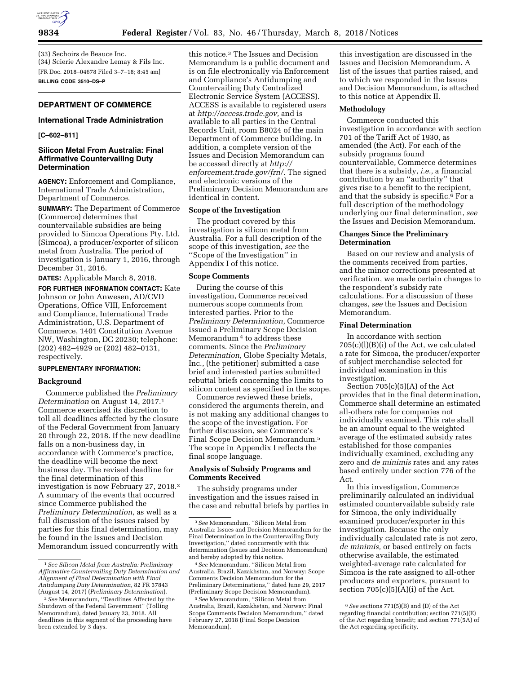

(33) Sechoirs de Beauce Inc. (34) Scierie Alexandre Lemay & Fils Inc. [FR Doc. 2018–04678 Filed 3–7–18; 8:45 am] **BILLING CODE 3510–DS–P** 

# **DEPARTMENT OF COMMERCE**

# **International Trade Administration**

### **[C–602–811]**

## **Silicon Metal From Australia: Final Affirmative Countervailing Duty Determination**

**AGENCY:** Enforcement and Compliance, International Trade Administration, Department of Commerce.

**SUMMARY:** The Department of Commerce (Commerce) determines that countervailable subsidies are being provided to Simcoa Operations Pty. Ltd. (Simcoa), a producer/exporter of silicon metal from Australia. The period of investigation is January 1, 2016, through December 31, 2016.

**DATES:** Applicable March 8, 2018.

**FOR FURTHER INFORMATION CONTACT:** Kate Johnson or John Anwesen, AD/CVD Operations, Office VIII, Enforcement and Compliance, International Trade Administration, U.S. Department of Commerce, 1401 Constitution Avenue NW, Washington, DC 20230; telephone: (202) 482–4929 or (202) 482–0131, respectively.

## **SUPPLEMENTARY INFORMATION:**

#### **Background**

Commerce published the *Preliminary Determination* on August 14, 2017.1 Commerce exercised its discretion to toll all deadlines affected by the closure of the Federal Government from January 20 through 22, 2018. If the new deadline falls on a non-business day, in accordance with Commerce's practice, the deadline will become the next business day. The revised deadline for the final determination of this investigation is now February 27, 2018.2 A summary of the events that occurred since Commerce published the *Preliminary Determination,* as well as a full discussion of the issues raised by parties for this final determination, may be found in the Issues and Decision Memorandum issued concurrently with

this notice.3 The Issues and Decision Memorandum is a public document and is on file electronically via Enforcement and Compliance's Antidumping and Countervailing Duty Centralized Electronic Service System (ACCESS). ACCESS is available to registered users at *[http://access.trade.gov,](http://access.trade.gov)* and is available to all parties in the Central Records Unit, room B8024 of the main Department of Commerce building. In addition, a complete version of the Issues and Decision Memorandum can be accessed directly at *[http://](http://enforcement.trade.gov/frn/) [enforcement.trade.gov/frn/.](http://enforcement.trade.gov/frn/)* The signed and electronic versions of the Preliminary Decision Memorandum are identical in content.

# **Scope of the Investigation**

The product covered by this investigation is silicon metal from Australia. For a full description of the scope of this investigation, *see* the ''Scope of the Investigation'' in Appendix I of this notice.

### **Scope Comments**

During the course of this investigation, Commerce received numerous scope comments from interested parties. Prior to the *Preliminary Determination,* Commerce issued a Preliminary Scope Decision Memorandum 4 to address these comments. Since the *Preliminary Determination,* Globe Specialty Metals, Inc., (the petitioner) submitted a case brief and interested parties submitted rebuttal briefs concerning the limits to silicon content as specified in the scope.

Commerce reviewed these briefs, considered the arguments therein, and is not making any additional changes to the scope of the investigation. For further discussion, see Commerce's Final Scope Decision Memorandum.5 The scope in Appendix I reflects the final scope language.

# **Analysis of Subsidy Programs and Comments Received**

The subsidy programs under investigation and the issues raised in the case and rebuttal briefs by parties in

this investigation are discussed in the Issues and Decision Memorandum. A list of the issues that parties raised, and to which we responded in the Issues and Decision Memorandum, is attached to this notice at Appendix II.

#### **Methodology**

Commerce conducted this investigation in accordance with section 701 of the Tariff Act of 1930, as amended (the Act). For each of the subsidy programs found countervailable, Commerce determines that there is a subsidy, *i.e.,* a financial contribution by an ''authority'' that gives rise to a benefit to the recipient, and that the subsidy is specific.<sup>6</sup> For a full description of the methodology underlying our final determination, *see*  the Issues and Decision Memorandum.

### **Changes Since the Preliminary Determination**

Based on our review and analysis of the comments received from parties, and the minor corrections presented at verification, we made certain changes to the respondent's subsidy rate calculations. For a discussion of these changes, *see* the Issues and Decision Memorandum.

#### **Final Determination**

In accordance with section 705(c)(l)(B)(i) of the Act, we calculated a rate for Simcoa, the producer/exporter of subject merchandise selected for individual examination in this investigation.

Section  $705(c)(5)(A)$  of the Act provides that in the final determination, Commerce shall determine an estimated all-others rate for companies not individually examined. This rate shall be an amount equal to the weighted average of the estimated subsidy rates established for those companies individually examined, excluding any zero and *de minimis* rates and any rates based entirely under section 776 of the Act.

In this investigation, Commerce preliminarily calculated an individual estimated countervailable subsidy rate for Simcoa, the only individually examined producer/exporter in this investigation. Because the only individually calculated rate is not zero, *de minimis,* or based entirely on facts otherwise available, the estimated weighted-average rate calculated for Simcoa is the rate assigned to all-other producers and exporters, pursuant to section  $705(c)(5)(A)(i)$  of the Act.

<sup>1</sup>*See Silicon Metal from Australia: Preliminary Affirmative Countervailing Duty Determination and Alignment of Final Determination with Final Antidumping Duty Determination,* 82 FR 37843 (August 14, 2017) (*Preliminary Determination*).

<sup>2</sup>*See* Memorandum, ''Deadlines Affected by the Shutdown of the Federal Government'' (Tolling Memorandum), dated January 23, 2018. All deadlines in this segment of the proceeding have been extended by 3 days.

<sup>3</sup>*See* Memorandum, ''Silicon Metal from Australia: Issues and Decision Memorandum for the Final Determination in the Countervailing Duty Investigation,'' dated concurrently with this determination (Issues and Decision Memorandum) and hereby adopted by this notice.

<sup>4</sup>*See* Memorandum, ''Silicon Metal from Australia, Brazil, Kazakhstan, and Norway: Scope Comments Decision Memorandum for the Preliminary Determinations,'' dated June 29, 2017 (Preliminary Scope Decision Memorandum).

<sup>5</sup>*See* Memorandum, ''Silicon Metal from Australia, Brazil, Kazakhstan, and Norway: Final Scope Comments Decision Memorandum,'' dated February 27, 2018 (Final Scope Decision Memorandum).

<sup>6</sup>*See* sections 771(5)(B) and (D) of the Act regarding financial contribution; section 771(5)(E) of the Act regarding benefit; and section 771(5A) of the Act regarding specificity.